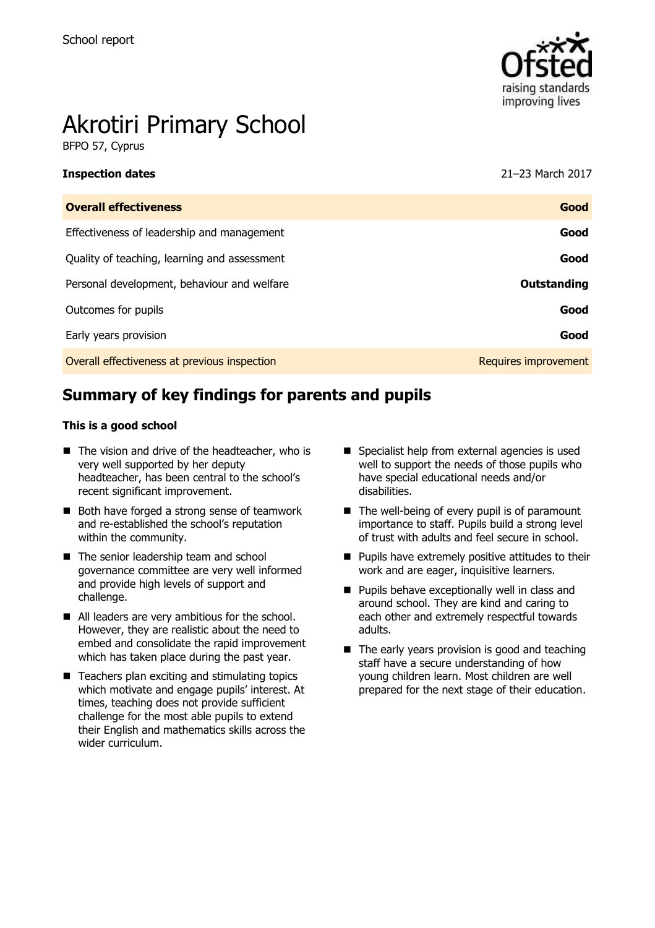

# Akrotiri Primary School

BFPO 57, Cyprus

### **Inspection dates** 21–23 March 2017

| <b>Overall effectiveness</b>                 | Good                 |
|----------------------------------------------|----------------------|
| Effectiveness of leadership and management   | Good                 |
| Quality of teaching, learning and assessment | Good                 |
| Personal development, behaviour and welfare  | <b>Outstanding</b>   |
| Outcomes for pupils                          | Good                 |
| Early years provision                        | Good                 |
| Overall effectiveness at previous inspection | Requires improvement |

## **Summary of key findings for parents and pupils**

## **This is a good school**

- The vision and drive of the headteacher, who is very well supported by her deputy headteacher, has been central to the school's recent significant improvement.
- Both have forged a strong sense of teamwork and re-established the school's reputation within the community.
- The senior leadership team and school governance committee are very well informed and provide high levels of support and challenge.
- All leaders are very ambitious for the school. However, they are realistic about the need to embed and consolidate the rapid improvement which has taken place during the past year.
- $\blacksquare$  Teachers plan exciting and stimulating topics which motivate and engage pupils' interest. At times, teaching does not provide sufficient challenge for the most able pupils to extend their English and mathematics skills across the wider curriculum.
- Specialist help from external agencies is used well to support the needs of those pupils who have special educational needs and/or disabilities.
- $\blacksquare$  The well-being of every pupil is of paramount importance to staff. Pupils build a strong level of trust with adults and feel secure in school.
- $\blacksquare$  Pupils have extremely positive attitudes to their work and are eager, inquisitive learners.
- **Pupils behave exceptionally well in class and** around school. They are kind and caring to each other and extremely respectful towards adults.
- The early years provision is good and teaching staff have a secure understanding of how young children learn. Most children are well prepared for the next stage of their education.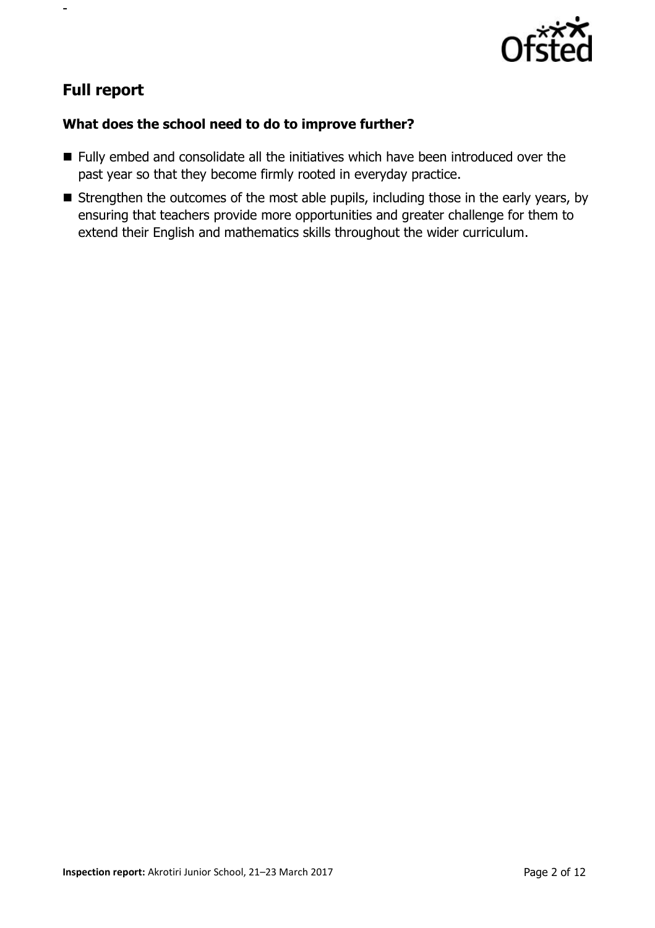

## **Full report**

-

## **What does the school need to do to improve further?**

- Fully embed and consolidate all the initiatives which have been introduced over the past year so that they become firmly rooted in everyday practice.
- **E** Strengthen the outcomes of the most able pupils, including those in the early years, by ensuring that teachers provide more opportunities and greater challenge for them to extend their English and mathematics skills throughout the wider curriculum.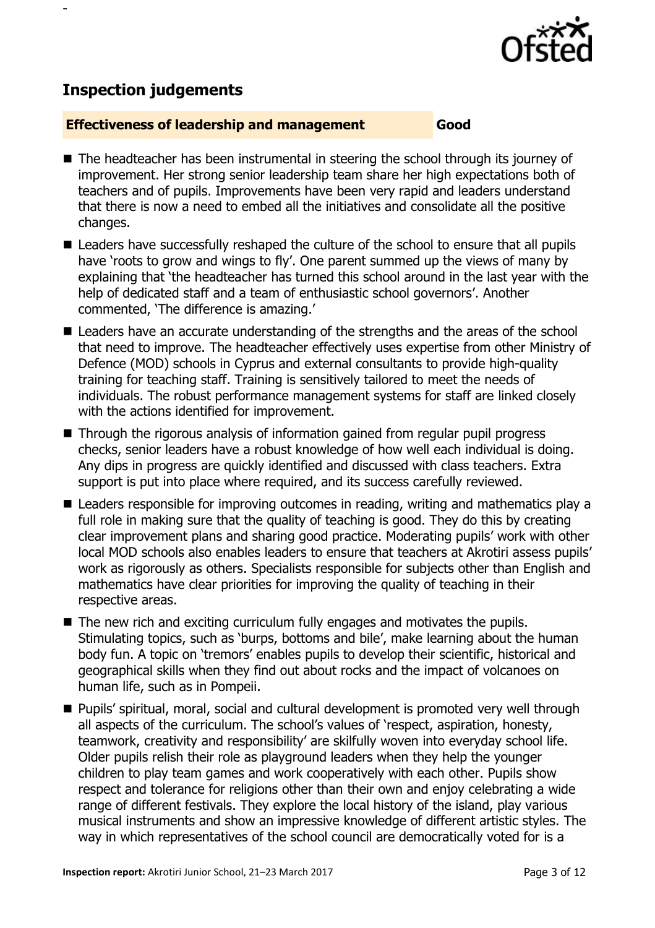

## **Inspection judgements**

-

## **Effectiveness of leadership and management Good**

- The headteacher has been instrumental in steering the school through its journey of improvement. Her strong senior leadership team share her high expectations both of teachers and of pupils. Improvements have been very rapid and leaders understand that there is now a need to embed all the initiatives and consolidate all the positive changes.
- Leaders have successfully reshaped the culture of the school to ensure that all pupils have 'roots to grow and wings to fly'. One parent summed up the views of many by explaining that 'the headteacher has turned this school around in the last year with the help of dedicated staff and a team of enthusiastic school governors'. Another commented, 'The difference is amazing.'
- Leaders have an accurate understanding of the strengths and the areas of the school that need to improve. The headteacher effectively uses expertise from other Ministry of Defence (MOD) schools in Cyprus and external consultants to provide high-quality training for teaching staff. Training is sensitively tailored to meet the needs of individuals. The robust performance management systems for staff are linked closely with the actions identified for improvement.
- Through the rigorous analysis of information gained from regular pupil progress checks, senior leaders have a robust knowledge of how well each individual is doing. Any dips in progress are quickly identified and discussed with class teachers. Extra support is put into place where required, and its success carefully reviewed.
- Leaders responsible for improving outcomes in reading, writing and mathematics play a full role in making sure that the quality of teaching is good. They do this by creating clear improvement plans and sharing good practice. Moderating pupils' work with other local MOD schools also enables leaders to ensure that teachers at Akrotiri assess pupils' work as rigorously as others. Specialists responsible for subjects other than English and mathematics have clear priorities for improving the quality of teaching in their respective areas.
- The new rich and exciting curriculum fully engages and motivates the pupils. Stimulating topics, such as 'burps, bottoms and bile', make learning about the human body fun. A topic on 'tremors' enables pupils to develop their scientific, historical and geographical skills when they find out about rocks and the impact of volcanoes on human life, such as in Pompeii.
- Pupils' spiritual, moral, social and cultural development is promoted very well through all aspects of the curriculum. The school's values of 'respect, aspiration, honesty, teamwork, creativity and responsibility' are skilfully woven into everyday school life. Older pupils relish their role as playground leaders when they help the younger children to play team games and work cooperatively with each other. Pupils show respect and tolerance for religions other than their own and enjoy celebrating a wide range of different festivals. They explore the local history of the island, play various musical instruments and show an impressive knowledge of different artistic styles. The way in which representatives of the school council are democratically voted for is a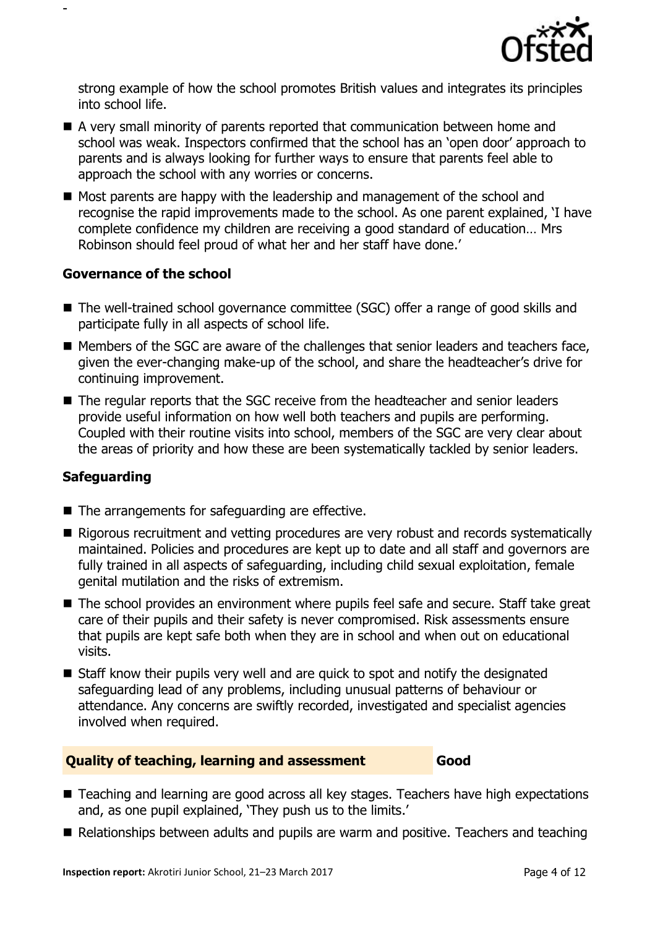

strong example of how the school promotes British values and integrates its principles into school life.

- A very small minority of parents reported that communication between home and school was weak. Inspectors confirmed that the school has an 'open door' approach to parents and is always looking for further ways to ensure that parents feel able to approach the school with any worries or concerns.
- Most parents are happy with the leadership and management of the school and recognise the rapid improvements made to the school. As one parent explained, 'I have complete confidence my children are receiving a good standard of education… Mrs Robinson should feel proud of what her and her staff have done.'

## **Governance of the school**

-

- The well-trained school governance committee (SGC) offer a range of good skills and participate fully in all aspects of school life.
- Members of the SGC are aware of the challenges that senior leaders and teachers face, given the ever-changing make-up of the school, and share the headteacher's drive for continuing improvement.
- The regular reports that the SGC receive from the headteacher and senior leaders provide useful information on how well both teachers and pupils are performing. Coupled with their routine visits into school, members of the SGC are very clear about the areas of priority and how these are been systematically tackled by senior leaders.

## **Safeguarding**

- The arrangements for safeguarding are effective.
- Rigorous recruitment and vetting procedures are very robust and records systematically maintained. Policies and procedures are kept up to date and all staff and governors are fully trained in all aspects of safeguarding, including child sexual exploitation, female genital mutilation and the risks of extremism.
- The school provides an environment where pupils feel safe and secure. Staff take great care of their pupils and their safety is never compromised. Risk assessments ensure that pupils are kept safe both when they are in school and when out on educational visits.
- Staff know their pupils very well and are quick to spot and notify the designated safeguarding lead of any problems, including unusual patterns of behaviour or attendance. Any concerns are swiftly recorded, investigated and specialist agencies involved when required.

## **Quality of teaching, learning and assessment Good**

- Teaching and learning are good across all key stages. Teachers have high expectations and, as one pupil explained, 'They push us to the limits.'
- Relationships between adults and pupils are warm and positive. Teachers and teaching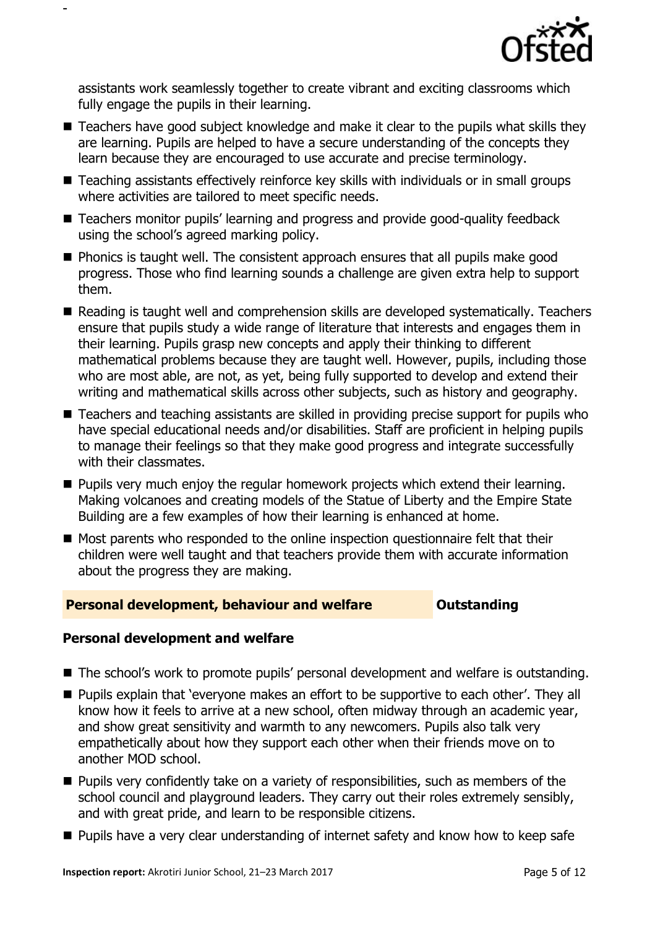

assistants work seamlessly together to create vibrant and exciting classrooms which fully engage the pupils in their learning.

-

- Teachers have good subject knowledge and make it clear to the pupils what skills they are learning. Pupils are helped to have a secure understanding of the concepts they learn because they are encouraged to use accurate and precise terminology.
- Teaching assistants effectively reinforce key skills with individuals or in small groups where activities are tailored to meet specific needs.
- Teachers monitor pupils' learning and progress and provide good-quality feedback using the school's agreed marking policy.
- $\blacksquare$  Phonics is taught well. The consistent approach ensures that all pupils make good progress. Those who find learning sounds a challenge are given extra help to support them.
- Reading is taught well and comprehension skills are developed systematically. Teachers ensure that pupils study a wide range of literature that interests and engages them in their learning. Pupils grasp new concepts and apply their thinking to different mathematical problems because they are taught well. However, pupils, including those who are most able, are not, as yet, being fully supported to develop and extend their writing and mathematical skills across other subjects, such as history and geography.
- Teachers and teaching assistants are skilled in providing precise support for pupils who have special educational needs and/or disabilities. Staff are proficient in helping pupils to manage their feelings so that they make good progress and integrate successfully with their classmates.
- **Pupils very much enjoy the regular homework projects which extend their learning.** Making volcanoes and creating models of the Statue of Liberty and the Empire State Building are a few examples of how their learning is enhanced at home.
- Most parents who responded to the online inspection questionnaire felt that their children were well taught and that teachers provide them with accurate information about the progress they are making.

## **Personal development, behaviour and welfare <b>COUTS** Outstanding

## **Personal development and welfare**

- The school's work to promote pupils' personal development and welfare is outstanding.
- **Pupils explain that 'everyone makes an effort to be supportive to each other'. They all** know how it feels to arrive at a new school, often midway through an academic year, and show great sensitivity and warmth to any newcomers. Pupils also talk very empathetically about how they support each other when their friends move on to another MOD school.
- **Pupils very confidently take on a variety of responsibilities, such as members of the** school council and playground leaders. They carry out their roles extremely sensibly, and with great pride, and learn to be responsible citizens.
- **Pupils have a very clear understanding of internet safety and know how to keep safe**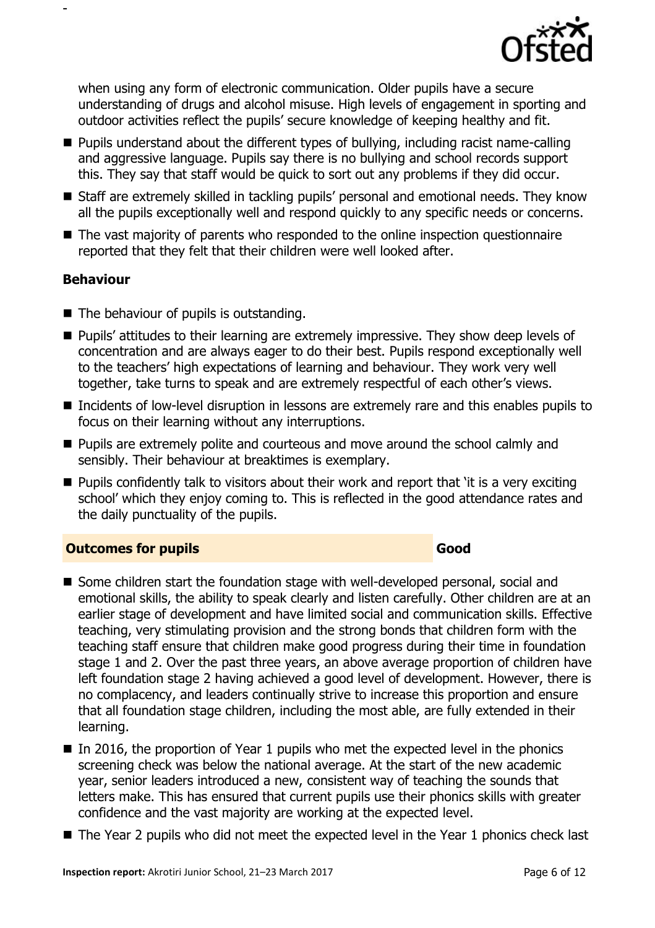

when using any form of electronic communication. Older pupils have a secure understanding of drugs and alcohol misuse. High levels of engagement in sporting and outdoor activities reflect the pupils' secure knowledge of keeping healthy and fit.

- Pupils understand about the different types of bullying, including racist name-calling and aggressive language. Pupils say there is no bullying and school records support this. They say that staff would be quick to sort out any problems if they did occur.
- Staff are extremely skilled in tackling pupils' personal and emotional needs. They know all the pupils exceptionally well and respond quickly to any specific needs or concerns.
- The vast majority of parents who responded to the online inspection questionnaire reported that they felt that their children were well looked after.

## **Behaviour**

-

- $\blacksquare$  The behaviour of pupils is outstanding.
- **Pupils' attitudes to their learning are extremely impressive. They show deep levels of** concentration and are always eager to do their best. Pupils respond exceptionally well to the teachers' high expectations of learning and behaviour. They work very well together, take turns to speak and are extremely respectful of each other's views.
- Incidents of low-level disruption in lessons are extremely rare and this enables pupils to focus on their learning without any interruptions.
- Pupils are extremely polite and courteous and move around the school calmly and sensibly. Their behaviour at breaktimes is exemplary.
- $\blacksquare$  Pupils confidently talk to visitors about their work and report that 'it is a very exciting school' which they enjoy coming to. This is reflected in the good attendance rates and the daily punctuality of the pupils.

## **Outcomes for pupils Good**

- Some children start the foundation stage with well-developed personal, social and emotional skills, the ability to speak clearly and listen carefully. Other children are at an earlier stage of development and have limited social and communication skills. Effective teaching, very stimulating provision and the strong bonds that children form with the teaching staff ensure that children make good progress during their time in foundation stage 1 and 2. Over the past three years, an above average proportion of children have left foundation stage 2 having achieved a good level of development. However, there is no complacency, and leaders continually strive to increase this proportion and ensure that all foundation stage children, including the most able, are fully extended in their learning.
- In 2016, the proportion of Year 1 pupils who met the expected level in the phonics screening check was below the national average. At the start of the new academic year, senior leaders introduced a new, consistent way of teaching the sounds that letters make. This has ensured that current pupils use their phonics skills with greater confidence and the vast majority are working at the expected level.
- The Year 2 pupils who did not meet the expected level in the Year 1 phonics check last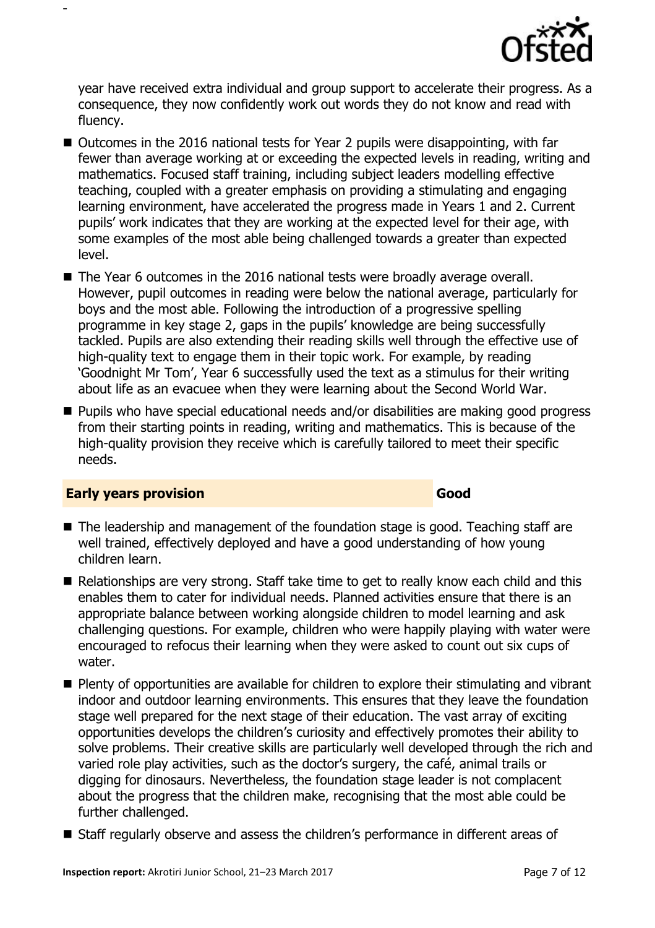

year have received extra individual and group support to accelerate their progress. As a consequence, they now confidently work out words they do not know and read with fluency.

- Outcomes in the 2016 national tests for Year 2 pupils were disappointing, with far fewer than average working at or exceeding the expected levels in reading, writing and mathematics. Focused staff training, including subject leaders modelling effective teaching, coupled with a greater emphasis on providing a stimulating and engaging learning environment, have accelerated the progress made in Years 1 and 2. Current pupils' work indicates that they are working at the expected level for their age, with some examples of the most able being challenged towards a greater than expected level.
- The Year 6 outcomes in the 2016 national tests were broadly average overall. However, pupil outcomes in reading were below the national average, particularly for boys and the most able. Following the introduction of a progressive spelling programme in key stage 2, gaps in the pupils' knowledge are being successfully tackled. Pupils are also extending their reading skills well through the effective use of high-quality text to engage them in their topic work. For example, by reading 'Goodnight Mr Tom', Year 6 successfully used the text as a stimulus for their writing about life as an evacuee when they were learning about the Second World War.
- Pupils who have special educational needs and/or disabilities are making good progress from their starting points in reading, writing and mathematics. This is because of the high-quality provision they receive which is carefully tailored to meet their specific needs.

## **Early years provision Good Good**

-

## ■ The leadership and management of the foundation stage is good. Teaching staff are well trained, effectively deployed and have a good understanding of how young children learn.

- Relationships are very strong. Staff take time to get to really know each child and this enables them to cater for individual needs. Planned activities ensure that there is an appropriate balance between working alongside children to model learning and ask challenging questions. For example, children who were happily playing with water were encouraged to refocus their learning when they were asked to count out six cups of water.
- **Plenty of opportunities are available for children to explore their stimulating and vibrant** indoor and outdoor learning environments. This ensures that they leave the foundation stage well prepared for the next stage of their education. The vast array of exciting opportunities develops the children's curiosity and effectively promotes their ability to solve problems. Their creative skills are particularly well developed through the rich and varied role play activities, such as the doctor's surgery, the café, animal trails or digging for dinosaurs. Nevertheless, the foundation stage leader is not complacent about the progress that the children make, recognising that the most able could be further challenged.
- Staff regularly observe and assess the children's performance in different areas of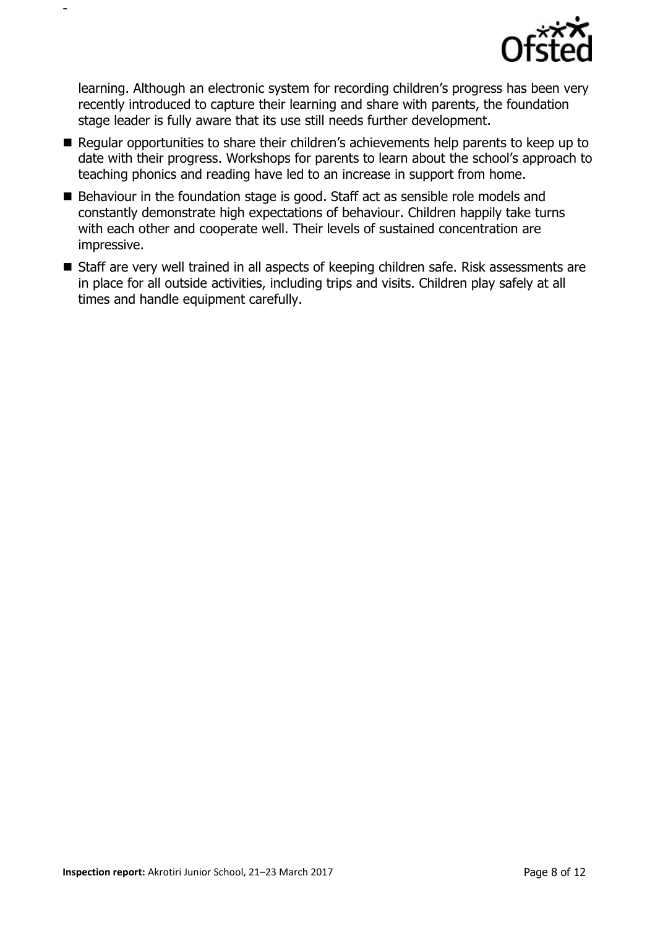

learning. Although an electronic system for recording children's progress has been very recently introduced to capture their learning and share with parents, the foundation stage leader is fully aware that its use still needs further development.

-

- Regular opportunities to share their children's achievements help parents to keep up to date with their progress. Workshops for parents to learn about the school's approach to teaching phonics and reading have led to an increase in support from home.
- Behaviour in the foundation stage is good. Staff act as sensible role models and constantly demonstrate high expectations of behaviour. Children happily take turns with each other and cooperate well. Their levels of sustained concentration are impressive.
- Staff are very well trained in all aspects of keeping children safe. Risk assessments are in place for all outside activities, including trips and visits. Children play safely at all times and handle equipment carefully.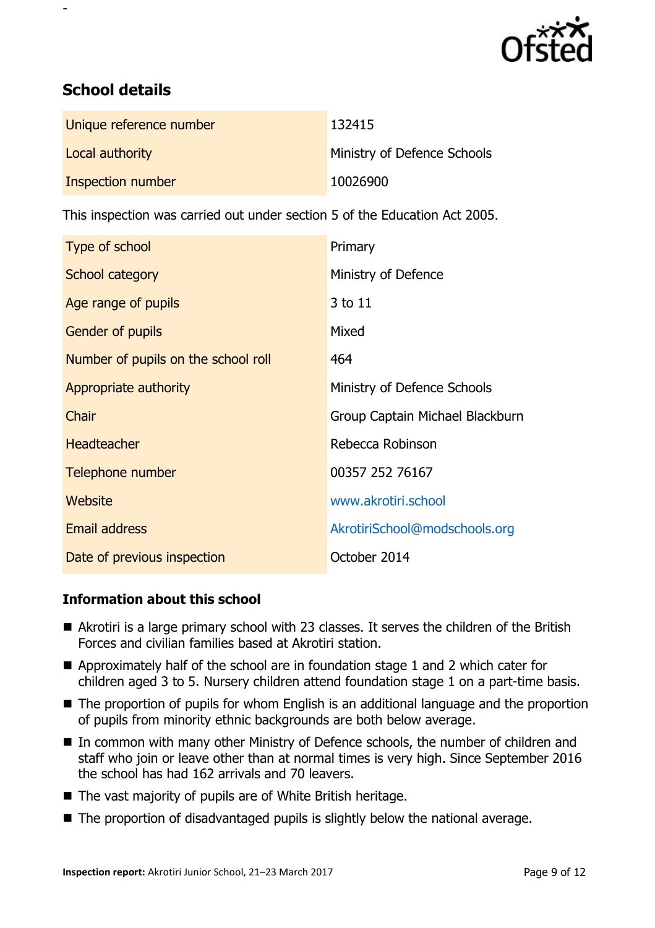

## **School details**

-

| Unique reference number | 132415                      |
|-------------------------|-----------------------------|
| Local authority         | Ministry of Defence Schools |
| Inspection number       | 10026900                    |

This inspection was carried out under section 5 of the Education Act 2005.

| Type of school                      | Primary                         |
|-------------------------------------|---------------------------------|
| School category                     | Ministry of Defence             |
| Age range of pupils                 | 3 to 11                         |
| <b>Gender of pupils</b>             | Mixed                           |
| Number of pupils on the school roll | 464                             |
| Appropriate authority               | Ministry of Defence Schools     |
| Chair                               | Group Captain Michael Blackburn |
| <b>Headteacher</b>                  | Rebecca Robinson                |
| Telephone number                    | 00357 252 76167                 |
| Website                             | www.akrotiri.school             |
| <b>Email address</b>                | AkrotiriSchool@modschools.org   |
| Date of previous inspection         | October 2014                    |

## **Information about this school**

- Akrotiri is a large primary school with 23 classes. It serves the children of the British Forces and civilian families based at Akrotiri station.
- Approximately half of the school are in foundation stage 1 and 2 which cater for children aged 3 to 5. Nursery children attend foundation stage 1 on a part-time basis.
- The proportion of pupils for whom English is an additional language and the proportion of pupils from minority ethnic backgrounds are both below average.
- In common with many other Ministry of Defence schools, the number of children and staff who join or leave other than at normal times is very high. Since September 2016 the school has had 162 arrivals and 70 leavers.
- The vast majority of pupils are of White British heritage.
- The proportion of disadvantaged pupils is slightly below the national average.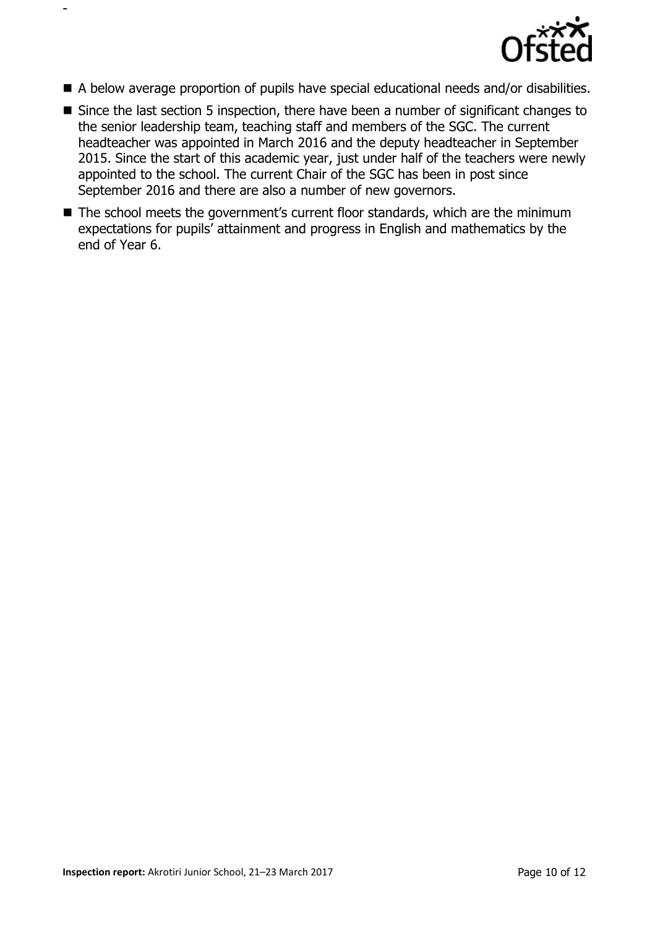

A below average proportion of pupils have special educational needs and/or disabilities.

-

- Since the last section 5 inspection, there have been a number of significant changes to the senior leadership team, teaching staff and members of the SGC. The current headteacher was appointed in March 2016 and the deputy headteacher in September 2015. Since the start of this academic year, just under half of the teachers were newly appointed to the school. The current Chair of the SGC has been in post since September 2016 and there are also a number of new governors.
- The school meets the government's current floor standards, which are the minimum expectations for pupils' attainment and progress in English and mathematics by the end of Year 6.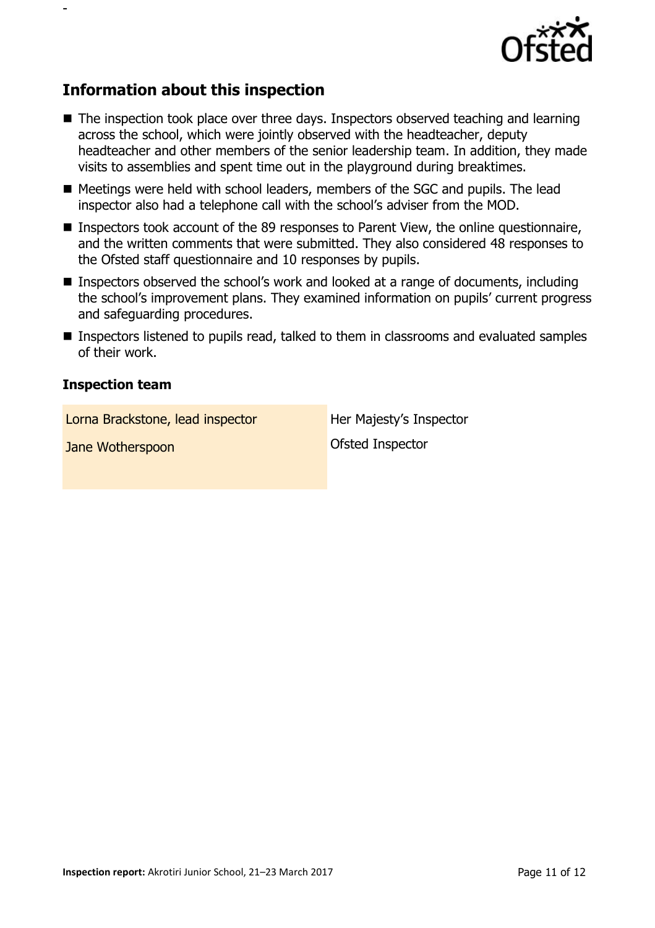

## **Information about this inspection**

- The inspection took place over three days. Inspectors observed teaching and learning across the school, which were jointly observed with the headteacher, deputy headteacher and other members of the senior leadership team. In addition, they made visits to assemblies and spent time out in the playground during breaktimes.
- Meetings were held with school leaders, members of the SGC and pupils. The lead inspector also had a telephone call with the school's adviser from the MOD.
- Inspectors took account of the 89 responses to Parent View, the online questionnaire, and the written comments that were submitted. They also considered 48 responses to the Ofsted staff questionnaire and 10 responses by pupils.
- Inspectors observed the school's work and looked at a range of documents, including the school's improvement plans. They examined information on pupils' current progress and safeguarding procedures.
- **Inspectors listened to pupils read, talked to them in classrooms and evaluated samples** of their work.

## **Inspection team**

-

Lorna Brackstone, lead inspector **Her Majesty's Inspector** 

**Jane Wotherspoon Contract Inspector**